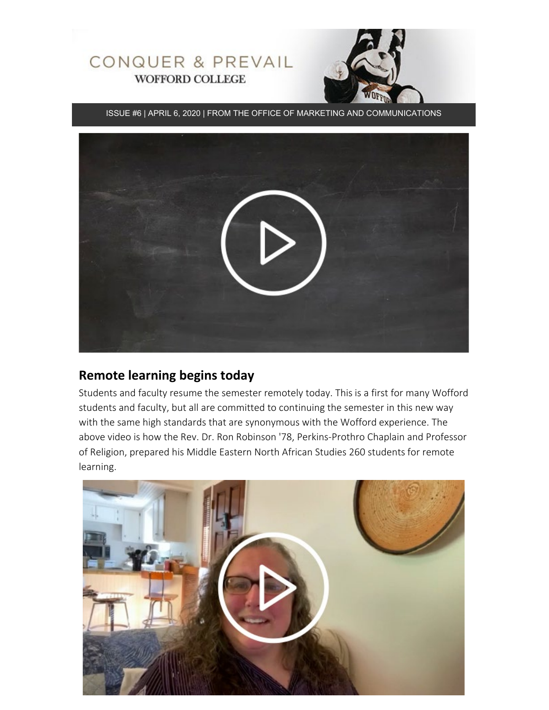

ISSUE #6 | APRIL 6, 2020 | FROM THE OFFICE OF MARKETING AND COMMUNICATIONS



## **Remote learning begins today**

Students and faculty resume the semester remotely today. This is a first for many Wofford students and faculty, but all are committed to continuing the semester in this new way with the same high standards that are synonymous with the Wofford experience. The above video is how the Rev. Dr. Ron Robinson '78, Perkins-Prothro Chaplain and Professor of Religion, prepared his Middle Eastern North African Studies 260 students for remote learning.

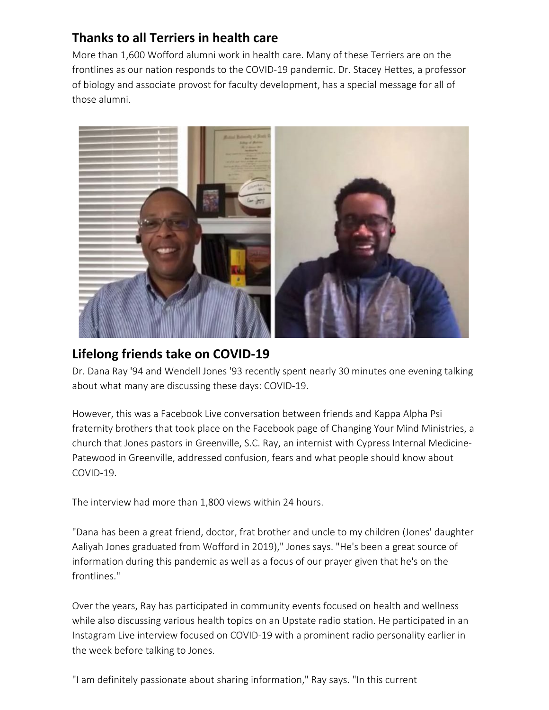## **Thanks to all Terriers in health care**

More than 1,600 Wofford alumni work in health care. Many of these Terriers are on the frontlines as our nation responds to the COVID-19 pandemic. Dr. Stacey Hettes, a professor of biology and associate provost for faculty development, has a special message for all of those alumni.



## **Lifelong friends take on COVID-19**

Dr. Dana Ray '94 and Wendell Jones '93 recently spent nearly 30 minutes one evening talking about what many are discussing these days: COVID-19.

However, this was a Facebook Live conversation between friends and Kappa Alpha Psi fraternity brothers that took place on the Facebook page of Changing Your Mind Ministries, a church that Jones pastors in Greenville, S.C. Ray, an internist with Cypress Internal Medicine-Patewood in Greenville, addressed confusion, fears and what people should know about COVID-19.

The interview had more than 1,800 views within 24 hours.

"Dana has been a great friend, doctor, frat brother and uncle to my children (Jones' daughter Aaliyah Jones graduated from Wofford in 2019)," Jones says. "He's been a great source of information during this pandemic as well as a focus of our prayer given that he's on the frontlines."

Over the years, Ray has participated in community events focused on health and wellness while also discussing various health topics on an Upstate radio station. He participated in an Instagram Live interview focused on COVID-19 with a prominent radio personality earlier in the week before talking to Jones.

"I am definitely passionate about sharing information," Ray says. "In this current